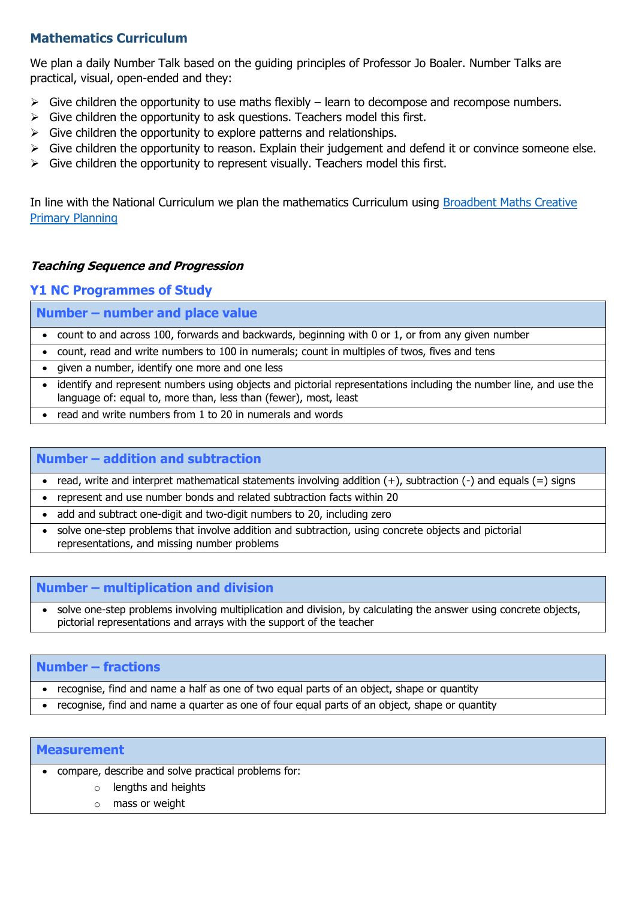# **Mathematics Curriculum**

We plan a daily Number Talk based on the guiding principles of Professor Jo Boaler. Number Talks are practical, visual, open-ended and they:

- $\triangleright$  Give children the opportunity to use maths flexibly learn to decompose and recompose numbers.
- $\triangleright$  Give children the opportunity to ask questions. Teachers model this first.
- $\triangleright$  Give children the opportunity to explore patterns and relationships.
- $\triangleright$  Give children the opportunity to reason. Explain their judgement and defend it or convince someone else.
- $\triangleright$  Give children the opportunity to represent visually. Teachers model this first.

In line with the National Curriculum we plan the mathematics Curriculum using **Broadbent Maths Creative** [Primary Planning](https://www.broadbentmaths.com/)

### **Teaching Sequence and Progression**

### **Y1 NC Programmes of Study**

### **Number – number and place value**

- count to and across 100, forwards and backwards, beginning with 0 or 1, or from any given number
- count, read and write numbers to 100 in numerals; count in multiples of twos, fives and tens
- given a number, identify one more and one less
- identify and represent numbers using objects and pictorial representations including the number line, and use the language of: equal to, more than, less than (fewer), most, least
- read and write numbers from 1 to 20 in numerals and words

## **Number – addition and subtraction**

- read, write and interpret mathematical statements involving addition  $(+)$ , subtraction  $(-)$  and equals  $(=)$  signs
- represent and use number bonds and related subtraction facts within 20
- add and subtract one-digit and two-digit numbers to 20, including zero
- solve one-step problems that involve addition and subtraction, using concrete objects and pictorial representations, and missing number problems

### **Number – multiplication and division**

 solve one-step problems involving multiplication and division, by calculating the answer using concrete objects, pictorial representations and arrays with the support of the teacher

## **Number – fractions**

- recognise, find and name a half as one of two equal parts of an object, shape or quantity
- recognise, find and name a quarter as one of four equal parts of an object, shape or quantity

- compare, describe and solve practical problems for:
	- o lengths and heights
	- o mass or weight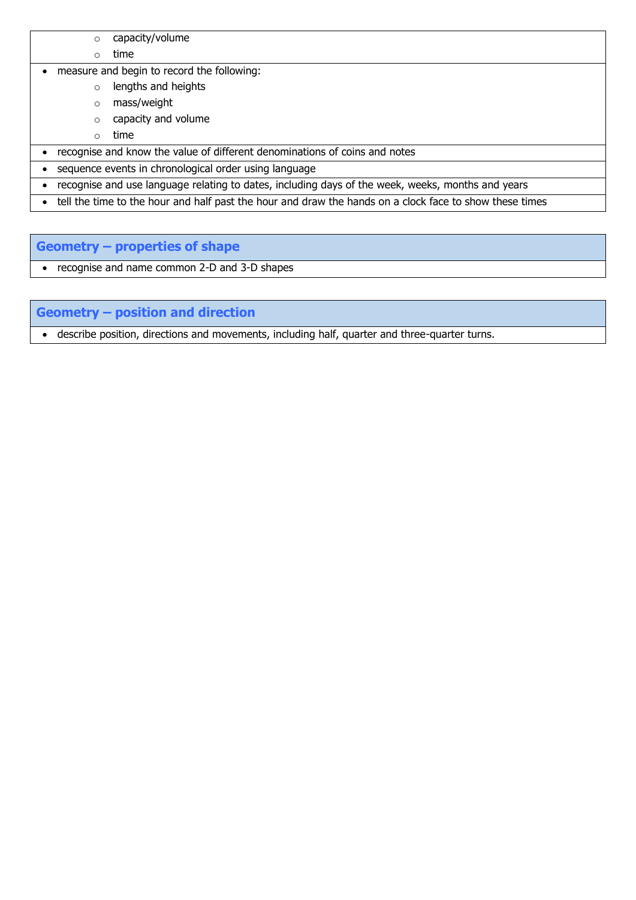- o capacity/volume
- o time
- measure and begin to record the following:
	- o lengths and heights
		- o mass/weight
		- o capacity and volume
	- o time
- recognise and know the value of different denominations of coins and notes
- sequence events in chronological order using language
- recognise and use language relating to dates, including days of the week, weeks, months and years
- tell the time to the hour and half past the hour and draw the hands on a clock face to show these times

## **Geometry – properties of shape**

recognise and name common 2-D and 3-D shapes

## **Geometry – position and direction**

describe position, directions and movements, including half, quarter and three-quarter turns.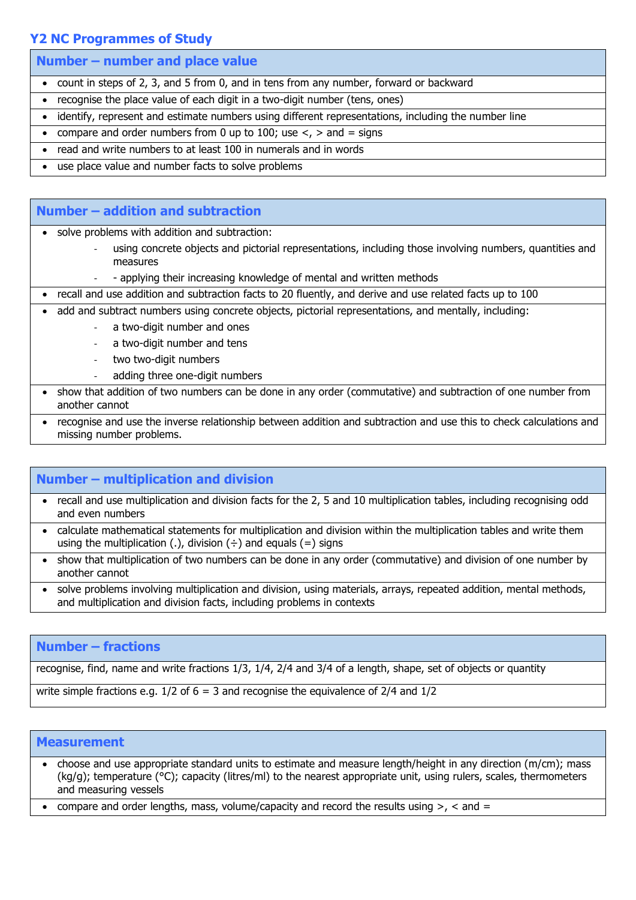# **Y2 NC Programmes of Study**

# **Number – number and place value**

- count in steps of 2, 3, and 5 from 0, and in tens from any number, forward or backward
- recognise the place value of each digit in a two-digit number (tens, ones)
- identify, represent and estimate numbers using different representations, including the number line
- compare and order numbers from 0 up to 100; use  $\lt$ ,  $>$  and  $=$  signs
- read and write numbers to at least 100 in numerals and in words
- use place value and number facts to solve problems

# **Number – addition and subtraction**

- solve problems with addition and subtraction:
	- using concrete objects and pictorial representations, including those involving numbers, quantities and measures
	- applying their increasing knowledge of mental and written methods
- recall and use addition and subtraction facts to 20 fluently, and derive and use related facts up to 100
- add and subtract numbers using concrete objects, pictorial representations, and mentally, including:
	- a two-digit number and ones
	- a two-digit number and tens
	- two two-digit numbers
	- adding three one-digit numbers
- show that addition of two numbers can be done in any order (commutative) and subtraction of one number from another cannot
- recognise and use the inverse relationship between addition and subtraction and use this to check calculations and missing number problems.

# **Number – multiplication and division**

- recall and use multiplication and division facts for the 2, 5 and 10 multiplication tables, including recognising odd and even numbers
- calculate mathematical statements for multiplication and division within the multiplication tables and write them using the multiplication (.), division  $(+)$  and equals  $(=)$  signs
- show that multiplication of two numbers can be done in any order (commutative) and division of one number by another cannot
- solve problems involving multiplication and division, using materials, arrays, repeated addition, mental methods, and multiplication and division facts, including problems in contexts

# **Number – fractions**

recognise, find, name and write fractions 1/3, 1/4, 2/4 and 3/4 of a length, shape, set of objects or quantity

write simple fractions e.g.  $1/2$  of 6 = 3 and recognise the equivalence of 2/4 and  $1/2$ 

- choose and use appropriate standard units to estimate and measure length/height in any direction (m/cm); mass (kg/g); temperature (°C); capacity (litres/ml) to the nearest appropriate unit, using rulers, scales, thermometers and measuring vessels
- compare and order lengths, mass, volume/capacity and record the results using  $>$ ,  $<$  and  $=$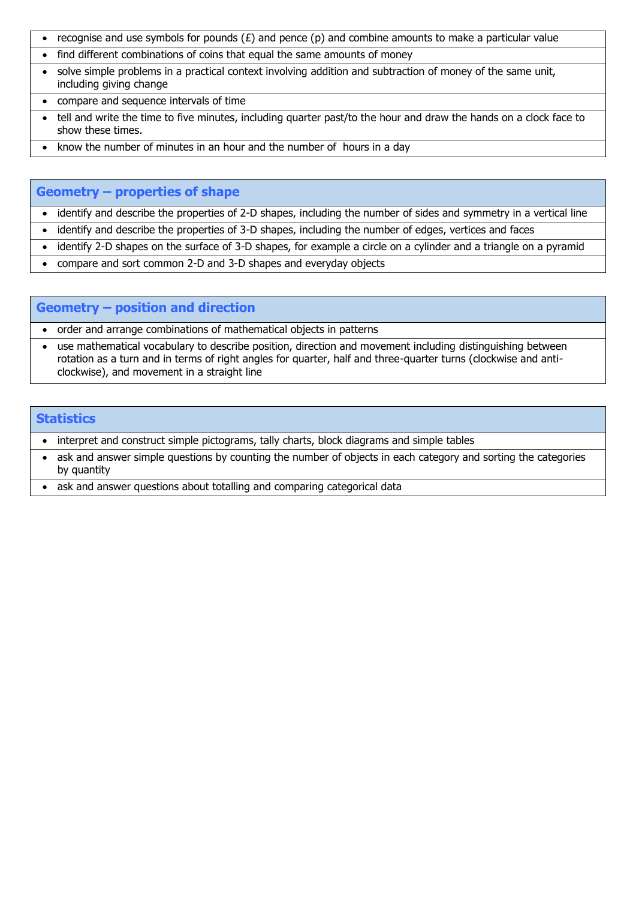- recognise and use symbols for pounds  $(E)$  and pence (p) and combine amounts to make a particular value
- find different combinations of coins that equal the same amounts of money
- solve simple problems in a practical context involving addition and subtraction of money of the same unit, including giving change
- compare and sequence intervals of time
- tell and write the time to five minutes, including quarter past/to the hour and draw the hands on a clock face to show these times.
- know the number of minutes in an hour and the number of hours in a day

## **Geometry – properties of shape**

- identify and describe the properties of 2-D shapes, including the number of sides and symmetry in a vertical line
- identify and describe the properties of 3-D shapes, including the number of edges, vertices and faces
- identify 2-D shapes on the surface of 3-D shapes, for example a circle on a cylinder and a triangle on a pyramid
- compare and sort common 2-D and 3-D shapes and everyday objects

### **Geometry – position and direction**

- order and arrange combinations of mathematical objects in patterns
- use mathematical vocabulary to describe position, direction and movement including distinguishing between rotation as a turn and in terms of right angles for quarter, half and three-quarter turns (clockwise and anticlockwise), and movement in a straight line

- interpret and construct simple pictograms, tally charts, block diagrams and simple tables
- ask and answer simple questions by counting the number of objects in each category and sorting the categories by quantity
- ask and answer questions about totalling and comparing categorical data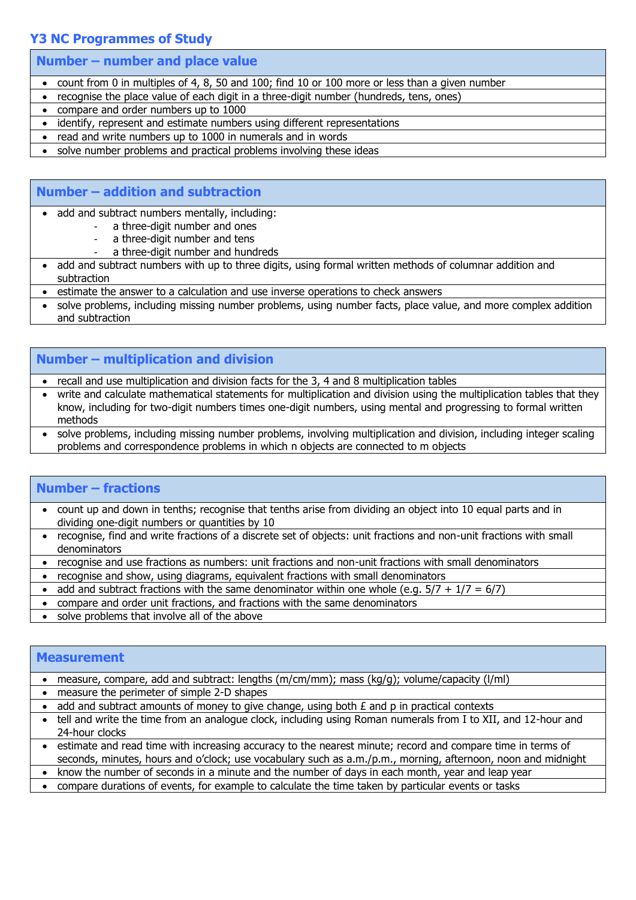# **Y3 NC Programmes of Study**

## **Number – number and place value**

- count from 0 in multiples of 4, 8, 50 and 100; find 10 or 100 more or less than a given number
- recognise the place value of each digit in a three-digit number (hundreds, tens, ones)
- compare and order numbers up to 1000
- identify, represent and estimate numbers using different representations
- read and write numbers up to 1000 in numerals and in words
- solve number problems and practical problems involving these ideas

### **Number – addition and subtraction**

- add and subtract numbers mentally, including:
	- a three-digit number and ones
	- a three-digit number and tens
	- a three-digit number and hundreds
- add and subtract numbers with up to three digits, using formal written methods of columnar addition and subtraction
- estimate the answer to a calculation and use inverse operations to check answers
- solve problems, including missing number problems, using number facts, place value, and more complex addition and subtraction

## **Number – multiplication and division**

- recall and use multiplication and division facts for the 3, 4 and 8 multiplication tables
- write and calculate mathematical statements for multiplication and division using the multiplication tables that they know, including for two-digit numbers times one-digit numbers, using mental and progressing to formal written methods
- solve problems, including missing number problems, involving multiplication and division, including integer scaling problems and correspondence problems in which n objects are connected to m objects

## **Number – fractions**

- count up and down in tenths; recognise that tenths arise from dividing an object into 10 equal parts and in dividing one-digit numbers or quantities by 10
- recognise, find and write fractions of a discrete set of objects: unit fractions and non-unit fractions with small denominators
- recognise and use fractions as numbers: unit fractions and non-unit fractions with small denominators
- recognise and show, using diagrams, equivalent fractions with small denominators
- add and subtract fractions with the same denominator within one whole (e.g.  $5/7 + 1/7 = 6/7$ )
- compare and order unit fractions, and fractions with the same denominators
- solve problems that involve all of the above

- measure, compare, add and subtract: lengths (m/cm/mm); mass (kg/g); volume/capacity (l/ml)
- measure the perimeter of simple 2-D shapes
- add and subtract amounts of money to give change, using both  $E$  and  $p$  in practical contexts
- tell and write the time from an analogue clock, including using Roman numerals from I to XII, and 12-hour and 24-hour clocks
- estimate and read time with increasing accuracy to the nearest minute; record and compare time in terms of seconds, minutes, hours and o'clock; use vocabulary such as a.m./p.m., morning, afternoon, noon and midnight
- know the number of seconds in a minute and the number of days in each month, year and leap year
- compare durations of events, for example to calculate the time taken by particular events or tasks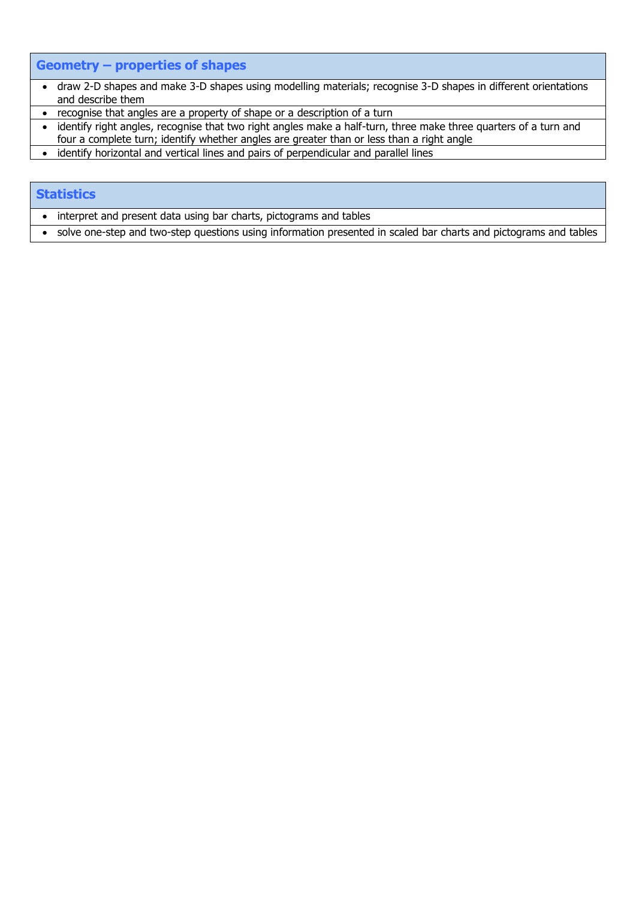### **Geometry – properties of shapes**

- draw 2-D shapes and make 3-D shapes using modelling materials; recognise 3-D shapes in different orientations and describe them
- recognise that angles are a property of shape or a description of a turn
- identify right angles, recognise that two right angles make a half-turn, three make three quarters of a turn and four a complete turn; identify whether angles are greater than or less than a right angle
- identify horizontal and vertical lines and pairs of perpendicular and parallel lines

- interpret and present data using bar charts, pictograms and tables
- solve one-step and two-step questions using information presented in scaled bar charts and pictograms and tables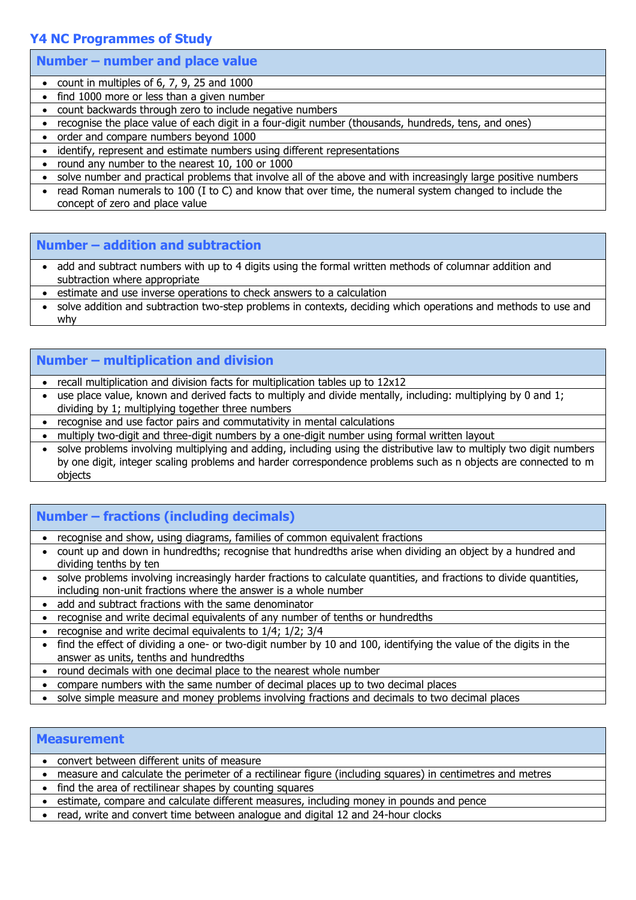# **Y4 NC Programmes of Study**

### **Number – number and place value**

- count in multiples of 6, 7, 9, 25 and 1000
- find 1000 more or less than a given number
- count backwards through zero to include negative numbers
- recognise the place value of each digit in a four-digit number (thousands, hundreds, tens, and ones)
- order and compare numbers beyond 1000
- identify, represent and estimate numbers using different representations
- round any number to the nearest 10, 100 or 1000
- solve number and practical problems that involve all of the above and with increasingly large positive numbers
- read Roman numerals to 100 (I to C) and know that over time, the numeral system changed to include the
- concept of zero and place value

## **Number – addition and subtraction**

- add and subtract numbers with up to 4 digits using the formal written methods of columnar addition and subtraction where appropriate
- estimate and use inverse operations to check answers to a calculation
- solve addition and subtraction two-step problems in contexts, deciding which operations and methods to use and why

# **Number – multiplication and division**

- recall multiplication and division facts for multiplication tables up to 12x12
- use place value, known and derived facts to multiply and divide mentally, including: multiplying by 0 and 1; dividing by 1; multiplying together three numbers
- recognise and use factor pairs and commutativity in mental calculations
- multiply two-digit and three-digit numbers by a one-digit number using formal written layout
- solve problems involving multiplying and adding, including using the distributive law to multiply two digit numbers by one digit, integer scaling problems and harder correspondence problems such as n objects are connected to m objects

# **Number – fractions (including decimals)**

- recognise and show, using diagrams, families of common equivalent fractions
- count up and down in hundredths; recognise that hundredths arise when dividing an object by a hundred and dividing tenths by ten
- solve problems involving increasingly harder fractions to calculate quantities, and fractions to divide quantities, including non-unit fractions where the answer is a whole number
- add and subtract fractions with the same denominator
- recognise and write decimal equivalents of any number of tenths or hundredths
- recognise and write decimal equivalents to  $1/4$ ;  $1/2$ ;  $3/4$
- find the effect of dividing a one- or two-digit number by 10 and 100, identifying the value of the digits in the answer as units, tenths and hundredths
- round decimals with one decimal place to the nearest whole number
- compare numbers with the same number of decimal places up to two decimal places
- solve simple measure and money problems involving fractions and decimals to two decimal places

- convert between different units of measure
- measure and calculate the perimeter of a rectilinear figure (including squares) in centimetres and metres
- find the area of rectilinear shapes by counting squares
- estimate, compare and calculate different measures, including money in pounds and pence
- read, write and convert time between analogue and digital 12 and 24-hour clocks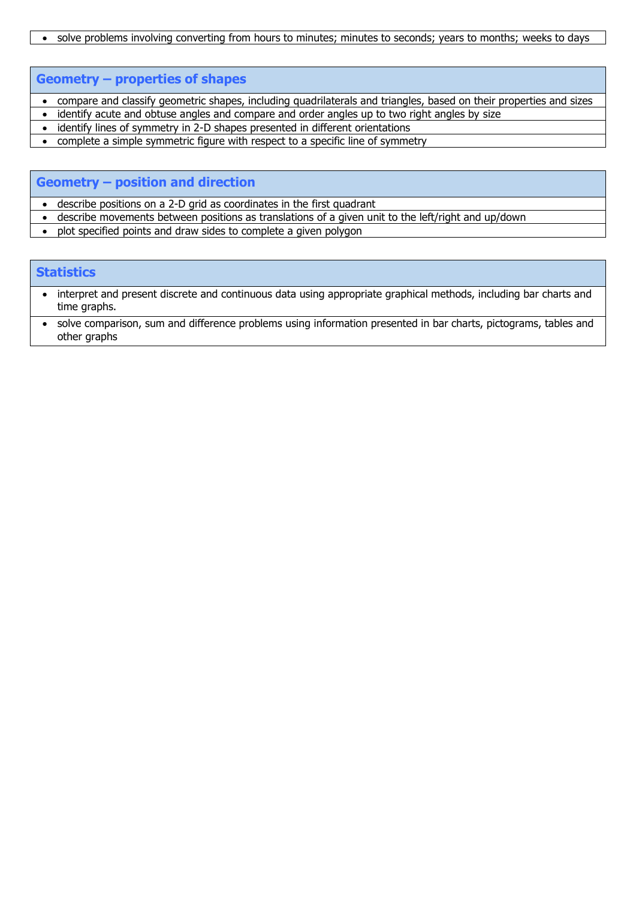#### • solve problems involving converting from hours to minutes; minutes to seconds; years to months; weeks to days

**Geometry – properties of shapes**

- compare and classify geometric shapes, including quadrilaterals and triangles, based on their properties and sizes
- identify acute and obtuse angles and compare and order angles up to two right angles by size
- identify lines of symmetry in 2-D shapes presented in different orientations
- complete a simple symmetric figure with respect to a specific line of symmetry

**Geometry – position and direction**

- describe positions on a 2-D grid as coordinates in the first quadrant
- describe movements between positions as translations of a given unit to the left/right and up/down
- plot specified points and draw sides to complete a given polygon

- interpret and present discrete and continuous data using appropriate graphical methods, including bar charts and time graphs.
- solve comparison, sum and difference problems using information presented in bar charts, pictograms, tables and other graphs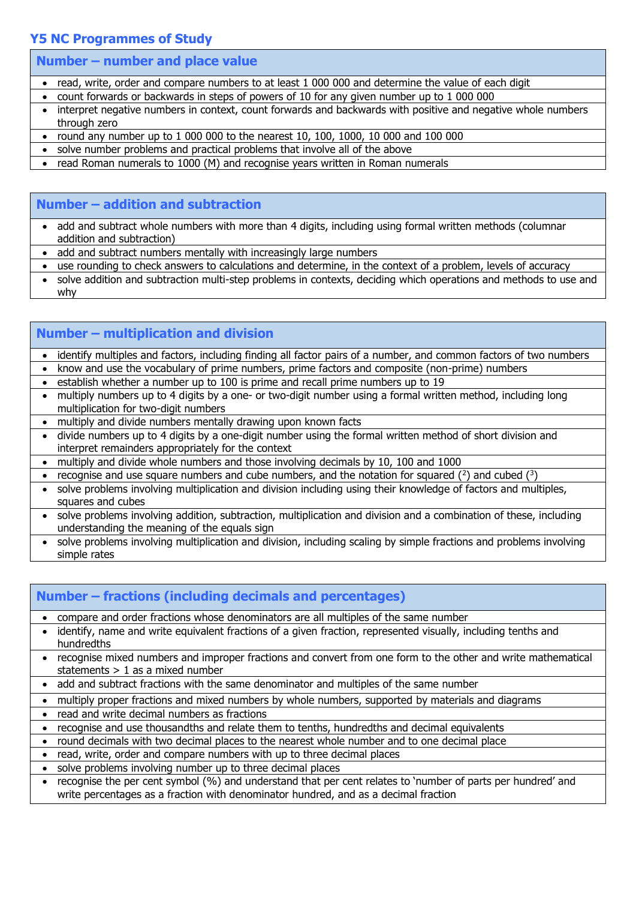# **Y5 NC Programmes of Study**

### **Number – number and place value**

- read, write, order and compare numbers to at least 1 000 000 and determine the value of each digit
- count forwards or backwards in steps of powers of 10 for any given number up to 1 000 000
- interpret negative numbers in context, count forwards and backwards with positive and negative whole numbers through zero
- round any number up to 1 000 000 to the nearest 10, 100, 1000, 10 000 and 100 000
- solve number problems and practical problems that involve all of the above
- read Roman numerals to 1000 (M) and recognise years written in Roman numerals

### **Number – addition and subtraction**

- add and subtract whole numbers with more than 4 digits, including using formal written methods (columnar addition and subtraction)
- add and subtract numbers mentally with increasingly large numbers
- use rounding to check answers to calculations and determine, in the context of a problem, levels of accuracy
- solve addition and subtraction multi-step problems in contexts, deciding which operations and methods to use and why

| Number – multiplication and division                                                                                                                            |
|-----------------------------------------------------------------------------------------------------------------------------------------------------------------|
| identify multiples and factors, including finding all factor pairs of a number, and common factors of two numbers                                               |
| know and use the vocabulary of prime numbers, prime factors and composite (non-prime) numbers                                                                   |
| establish whether a number up to 100 is prime and recall prime numbers up to 19                                                                                 |
| multiply numbers up to 4 digits by a one- or two-digit number using a formal written method, including long<br>multiplication for two-digit numbers             |
| multiply and divide numbers mentally drawing upon known facts                                                                                                   |
| divide numbers up to 4 digits by a one-digit number using the formal written method of short division and<br>interpret remainders appropriately for the context |
| multiply and divide whole numbers and those involving decimals by 10, 100 and 1000                                                                              |
| recognise and use square numbers and cube numbers, and the notation for squared $(2)$ and cubed $(3)$                                                           |
| solve problems involving multiplication and division including using their knowledge of factors and multiples,<br>squares and cubes                             |
| solve problems involving addition, subtraction, multiplication and division and a combination of these, including                                               |

- understanding the meaning of the equals sign
- solve problems involving multiplication and division, including scaling by simple fractions and problems involving simple rates

| Number – fractions (including decimals and percentages)                                                                                                                                                         |
|-----------------------------------------------------------------------------------------------------------------------------------------------------------------------------------------------------------------|
| compare and order fractions whose denominators are all multiples of the same number                                                                                                                             |
| identify, name and write equivalent fractions of a given fraction, represented visually, including tenths and<br>$\bullet$<br>hundredths                                                                        |
| recognise mixed numbers and improper fractions and convert from one form to the other and write mathematical<br>$\bullet$<br>statements $> 1$ as a mixed number                                                 |
| • add and subtract fractions with the same denominator and multiples of the same number                                                                                                                         |
| multiply proper fractions and mixed numbers by whole numbers, supported by materials and diagrams<br>$\bullet$                                                                                                  |
| read and write decimal numbers as fractions<br>$\bullet$                                                                                                                                                        |
| recognise and use thousandths and relate them to tenths, hundredths and decimal equivalents<br>$\bullet$                                                                                                        |
| round decimals with two decimal places to the nearest whole number and to one decimal place<br>$\bullet$                                                                                                        |
| read, write, order and compare numbers with up to three decimal places                                                                                                                                          |
| solve problems involving number up to three decimal places<br>$\bullet$                                                                                                                                         |
| recognise the per cent symbol (%) and understand that per cent relates to 'number of parts per hundred' and<br>$\bullet$<br>write percentages as a fraction with denominator hundred, and as a decimal fraction |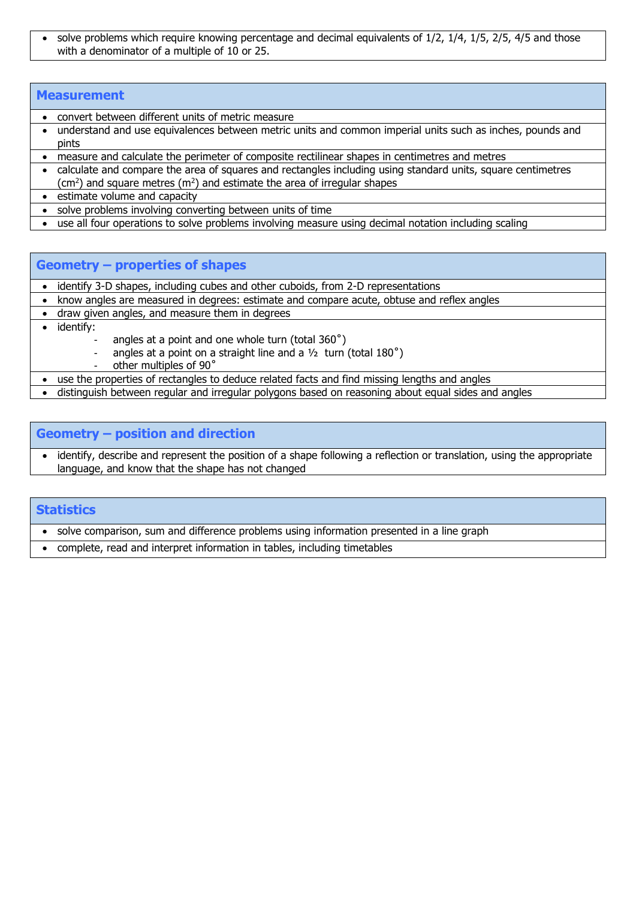solve problems which require knowing percentage and decimal equivalents of 1/2, 1/4, 1/5, 2/5, 4/5 and those with a denominator of a multiple of 10 or 25.

#### **Measurement**

- convert between different units of metric measure
- understand and use equivalences between metric units and common imperial units such as inches, pounds and pints
- measure and calculate the perimeter of composite rectilinear shapes in centimetres and metres
- calculate and compare the area of squares and rectangles including using standard units, square centimetres  $\rm (cm^2)$  and square metres  $\rm (m^2)$  and estimate the area of irregular shapes
- estimate volume and capacity
- solve problems involving converting between units of time
- use all four operations to solve problems involving measure using decimal notation including scaling

## **Geometry – properties of shapes**

- identify 3-D shapes, including cubes and other cuboids, from 2-D representations
- know angles are measured in degrees: estimate and compare acute, obtuse and reflex angles
- draw given angles, and measure them in degrees
- identify:
	- angles at a point and one whole turn (total 360°)
	- angles at a point on a straight line and a  $1/2$  turn (total 180°)
		- other multiples of 90°
- use the properties of rectangles to deduce related facts and find missing lengths and angles
- distinguish between regular and irregular polygons based on reasoning about equal sides and angles

### **Geometry – position and direction**

 identify, describe and represent the position of a shape following a reflection or translation, using the appropriate language, and know that the shape has not changed

### **Statistics**

solve comparison, sum and difference problems using information presented in a line graph

complete, read and interpret information in tables, including timetables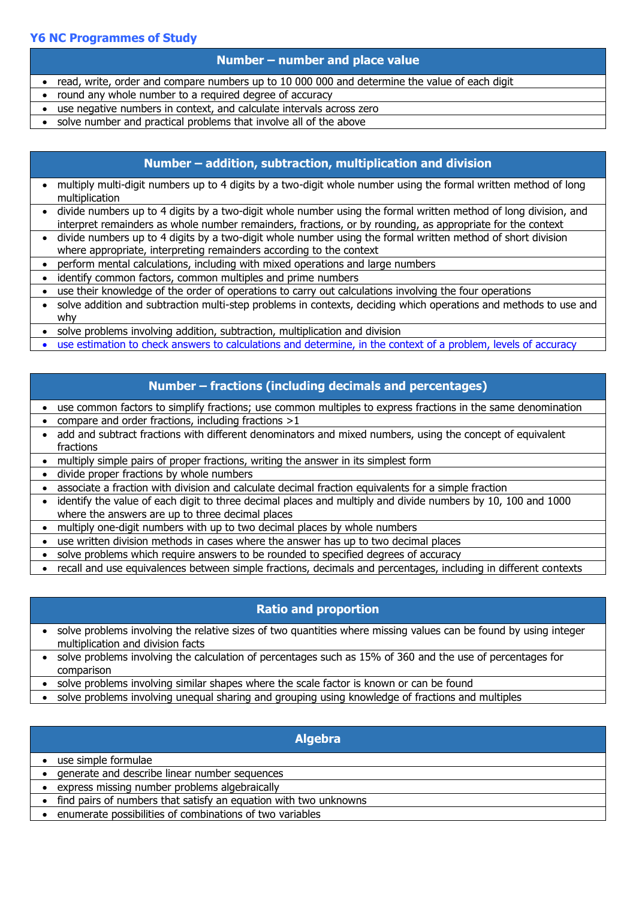### **Y6 NC Programmes of Study**

### **Number – number and place value**

- read, write, order and compare numbers up to 10 000 000 and determine the value of each digit
- round any whole number to a required degree of accuracy
- use negative numbers in context, and calculate intervals across zero
- solve number and practical problems that involve all of the above

#### **Number – addition, subtraction, multiplication and division**

- multiply multi-digit numbers up to 4 digits by a two-digit whole number using the formal written method of long multiplication
- divide numbers up to 4 digits by a two-digit whole number using the formal written method of long division, and
- interpret remainders as whole number remainders, fractions, or by rounding, as appropriate for the context
- divide numbers up to 4 digits by a two-digit whole number using the formal written method of short division where appropriate, interpreting remainders according to the context
- perform mental calculations, including with mixed operations and large numbers
- identify common factors, common multiples and prime numbers
- use their knowledge of the order of operations to carry out calculations involving the four operations
- solve addition and subtraction multi-step problems in contexts, deciding which operations and methods to use and why
- solve problems involving addition, subtraction, multiplication and division
- use estimation to check answers to calculations and determine, in the context of a problem, levels of accuracy

### **Number – fractions (including decimals and percentages)**

- use common factors to simplify fractions; use common multiples to express fractions in the same denomination
- compare and order fractions, including fractions >1
- add and subtract fractions with different denominators and mixed numbers, using the concept of equivalent fractions
- multiply simple pairs of proper fractions, writing the answer in its simplest form
- divide proper fractions by whole numbers
- associate a fraction with division and calculate decimal fraction equivalents for a simple fraction
- identify the value of each digit to three decimal places and multiply and divide numbers by 10, 100 and 1000 where the answers are up to three decimal places
- multiply one-digit numbers with up to two decimal places by whole numbers
- use written division methods in cases where the answer has up to two decimal places
- solve problems which require answers to be rounded to specified degrees of accuracy
- recall and use equivalences between simple fractions, decimals and percentages, including in different contexts

## **Ratio and proportion**

- solve problems involving the relative sizes of two quantities where missing values can be found by using integer multiplication and division facts
- solve problems involving the calculation of percentages such as 15% of 360 and the use of percentages for comparison
- solve problems involving similar shapes where the scale factor is known or can be found
- solve problems involving unequal sharing and grouping using knowledge of fractions and multiples

| <b>Algebra</b>                                                   |
|------------------------------------------------------------------|
| use simple formulae                                              |
| generate and describe linear number sequences                    |
| express missing number problems algebraically                    |
| find pairs of numbers that satisfy an equation with two unknowns |
| enumerate possibilities of combinations of two variables         |